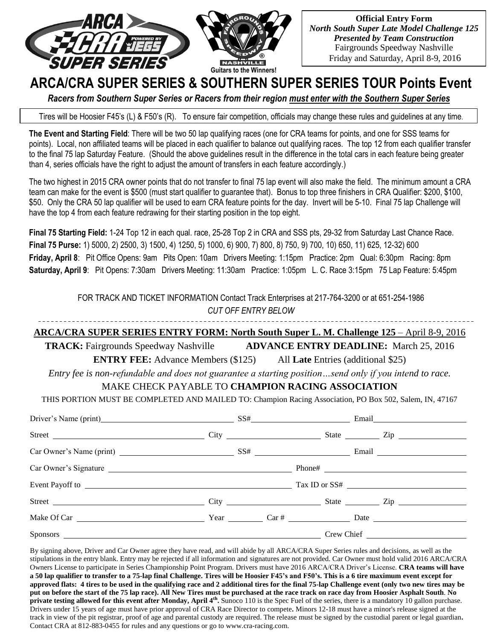

**Official Entry Form** *North South Super Late Model Challenge 125 Presented by Team Construction* Fairgrounds Speedway Nashville Friday and Saturday, April 8-9, 2016

# **ARCA/CRA SUPER SERIES & SOUTHERN SUPER SERIES TOUR Points Event**

*Racers from Southern Super Series or Racers from their region must enter with the Southern Super Series*

Tires will be Hoosier F45's (L) & F50's (R). To ensure fair competition, officials may change these rules and guidelines at any time.

**The Event and Starting Field**: There will be two 50 lap qualifying races (one for CRA teams for points, and one for SSS teams for points). Local, non affiliated teams will be placed in each qualifier to balance out qualifying races. The top 12 from each qualifier transfer to the final 75 lap Saturday Feature. (Should the above guidelines result in the difference in the total cars in each feature being greater than 4, series officials have the right to adjust the amount of transfers in each feature accordingly.)

The two highest in 2015 CRA owner points that do not transfer to final 75 lap event will also make the field. The minimum amount a CRA team can make for the event is \$500 (must start qualifier to guarantee that). Bonus to top three finishers in CRA Qualifier: \$200, \$100, \$50. Only the CRA 50 lap qualifier will be used to earn CRA feature points for the day. Invert will be 5-10. Final 75 lap Challenge will have the top 4 from each feature redrawing for their starting position in the top eight.

**Final 75 Starting Field:** 1-24 Top 12 in each qual. race, 25-28 Top 2 in CRA and SSS pts, 29-32 from Saturday Last Chance Race. **Final 75 Purse:** 1) 5000, 2) 2500, 3) 1500, 4) 1250, 5) 1000, 6) 900, 7) 800, 8) 750, 9) 700, 10) 650, 11) 625, 12-32) 600 **Friday, April 8**: Pit Office Opens: 9am Pits Open: 10am Drivers Meeting: 1:15pm Practice: 2pm Qual: 6:30pm Racing: 8pm **Saturday, April 9**: Pit Opens: 7:30am Drivers Meeting: 11:30am Practice: 1:05pm L. C. Race 3:15pm 75 Lap Feature: 5:45pm

> FOR TRACK AND TICKET INFORMATION Contact Track Enterprises at 217-764-3200 or at 651-254-1986 *CUT OFF ENTRY BELOW*

## **ARCA/CRA SUPER SERIES ENTRY FORM: North South Super L. M. Challenge 125** – April 8-9, 2016

**TRACK:** Fairgrounds Speedway Nashville **ADVANCE ENTRY DEADLINE:** March 25, 2016

**ENTRY FEE:** Advance Members (\$125) All **Late** Entries (additional \$25)

*Entry fee is non-refundable and does not guarantee a starting position…send only if you intend to race.*

## MAKE CHECK PAYABLE TO **CHAMPION RACING ASSOCIATION**

THIS PORTION MUST BE COMPLETED AND MAILED TO: Champion Racing Association, PO Box 502, Salem, IN, 47167

| Driver's Name (print) SS# Email Email                                                                                                                                                                                          |  |  |  |  |                  |  |
|--------------------------------------------------------------------------------------------------------------------------------------------------------------------------------------------------------------------------------|--|--|--|--|------------------|--|
|                                                                                                                                                                                                                                |  |  |  |  | State <u>Zip</u> |  |
|                                                                                                                                                                                                                                |  |  |  |  |                  |  |
|                                                                                                                                                                                                                                |  |  |  |  |                  |  |
|                                                                                                                                                                                                                                |  |  |  |  |                  |  |
| Street City City City State City State City State City                                                                                                                                                                         |  |  |  |  |                  |  |
|                                                                                                                                                                                                                                |  |  |  |  |                  |  |
| Sponsors Contract Contract Contract Contract Contract Contract Contract Contract Contract Contract Contract Contract Contract Contract Contract Contract Contract Contract Contract Contract Contract Contract Contract Contra |  |  |  |  |                  |  |

By signing above, Driver and Car Owner agree they have read, and will abide by all ARCA/CRA Super Series rules and decisions, as well as the stipulations in the entry blank. Entry may be rejected if all information and signatures are not provided. Car Owner must hold valid 2016 ARCA/CRA Owners License to participate in Series Championship Point Program. Drivers must have 2016 ARCA/CRA Driver's License. **CRA teams will have a 50 lap qualifier to transfer to a 75-lap final Challenge. Tires will be Hoosier F45's and F50's. This is a 6 tire maximum event except for approved flats: 4 tires to be used in the qualifying race and 2 additional tires for the final 75-lap Challenge event (only two new tires may be put on before the start of the 75 lap race). All New Tires must be purchased at the race track on race day from Hoosier Asphalt South**. **No private testing allowed for this event after Monday, April 4<sup>th</sup>. Sunoco 110 is the Spec Fuel of the series, there is a mandatory 10 gallon purchase.** Drivers under 15 years of age must have prior approval of CRA Race Director to compete**.** Minors 12-18 must have a minor's release signed at the track in view of the pit registrar, proof of age and parental custody are required. The release must be signed by the custodial parent or legal guardian**.** Contact CRA at 812-883-0455 for rules and any questions or go to www.cra-racing.com.